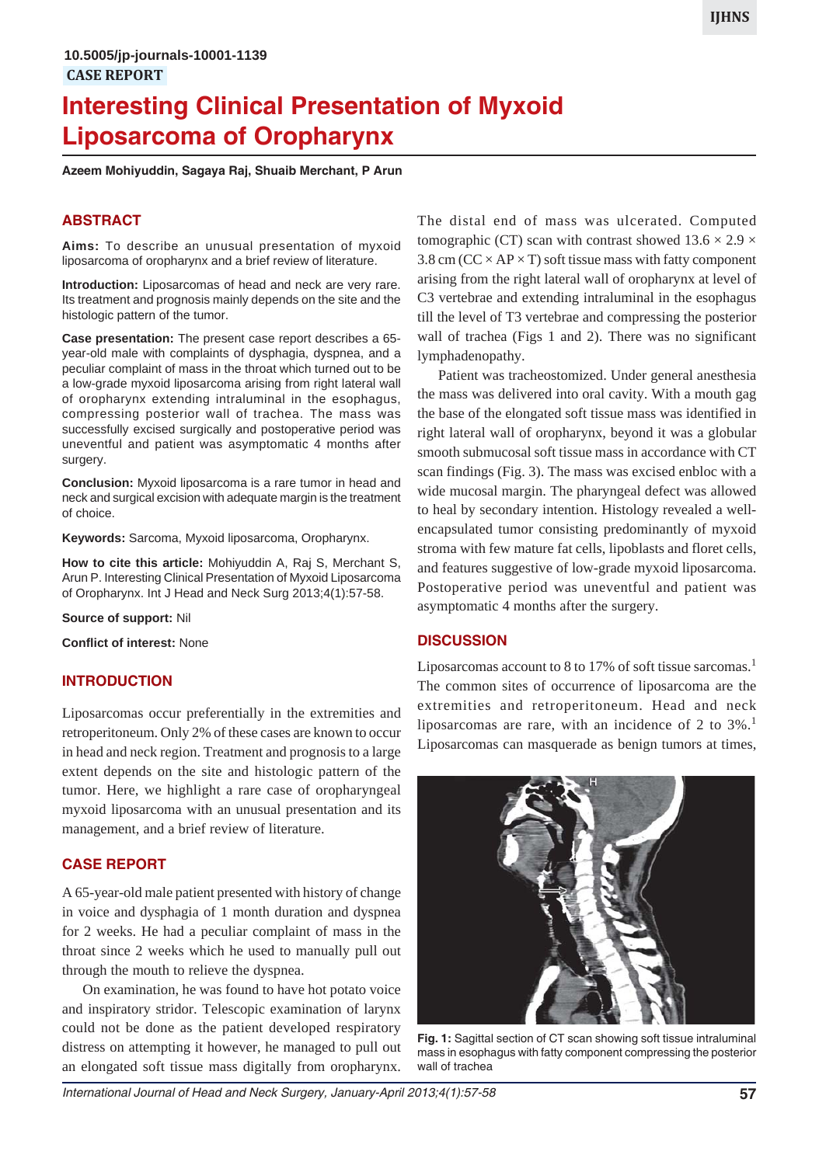# **Interesting Clinical Presentation of Myxoid Liposarcoma of Oropharynx**

**Azeem Mohiyuddin, Sagaya Raj, Shuaib Merchant, P Arun**

### **ABSTRACT**

**Aims:** To describe an unusual presentation of myxoid liposarcoma of oropharynx and a brief review of literature.

**Introduction:** Liposarcomas of head and neck are very rare. Its treatment and prognosis mainly depends on the site and the histologic pattern of the tumor.

**Case presentation:** The present case report describes a 65 year-old male with complaints of dysphagia, dyspnea, and a peculiar complaint of mass in the throat which turned out to be a low-grade myxoid liposarcoma arising from right lateral wall of oropharynx extending intraluminal in the esophagus, compressing posterior wall of trachea. The mass was successfully excised surgically and postoperative period was uneventful and patient was asymptomatic 4 months after surgery.

**Conclusion:** Myxoid liposarcoma is a rare tumor in head and neck and surgical excision with adequate margin is the treatment of choice.

**Keywords:** Sarcoma, Myxoid liposarcoma, Oropharynx.

**How to cite this article:** Mohiyuddin A, Raj S, Merchant S, Arun P. Interesting Clinical Presentation of Myxoid Liposarcoma of Oropharynx. Int J Head and Neck Surg 2013;4(1):57-58.

**Source of support:** Nil

**Conflict of interest:** None

### **INTRODUCTION**

Liposarcomas occur preferentially in the extremities and retroperitoneum. Only 2% of these cases are known to occur in head and neck region. Treatment and prognosis to a large extent depends on the site and histologic pattern of the tumor. Here, we highlight a rare case of oropharyngeal myxoid liposarcoma with an unusual presentation and its management, and a brief review of literature.

#### **CASE REPORT**

A 65-year-old male patient presented with history of change in voice and dysphagia of 1 month duration and dyspnea for 2 weeks. He had a peculiar complaint of mass in the throat since 2 weeks which he used to manually pull out through the mouth to relieve the dyspnea.

On examination, he was found to have hot potato voice and inspiratory stridor. Telescopic examination of larynx could not be done as the patient developed respiratory distress on attempting it however, he managed to pull out an elongated soft tissue mass digitally from oropharynx.

The distal end of mass was ulcerated. Computed tomographic (CT) scan with contrast showed  $13.6 \times 2.9 \times$ 3.8 cm ( $CC \times AP \times T$ ) soft tissue mass with fatty component arising from the right lateral wall of oropharynx at level of C3 vertebrae and extending intraluminal in the esophagus till the level of T3 vertebrae and compressing the posterior wall of trachea (Figs 1 and 2). There was no significant lymphadenopathy.

Patient was tracheostomized. Under general anesthesia the mass was delivered into oral cavity. With a mouth gag the base of the elongated soft tissue mass was identified in right lateral wall of oropharynx, beyond it was a globular smooth submucosal soft tissue mass in accordance with CT scan findings (Fig. 3). The mass was excised enbloc with a wide mucosal margin. The pharyngeal defect was allowed to heal by secondary intention. Histology revealed a wellencapsulated tumor consisting predominantly of myxoid stroma with few mature fat cells, lipoblasts and floret cells, and features suggestive of low-grade myxoid liposarcoma. Postoperative period was uneventful and patient was asymptomatic 4 months after the surgery.

#### **DISCUSSION**

Liposarcomas account to 8 to 17% of soft tissue sarcomas.<sup>1</sup> The common sites of occurrence of liposarcoma are the extremities and retroperitoneum. Head and neck liposarcomas are rare, with an incidence of 2 to  $3\%$ .<sup>1</sup> Liposarcomas can masquerade as benign tumors at times,



**Fig. 1:** Sagittal section of CT scan showing soft tissue intraluminal mass in esophagus with fatty component compressing the posterior wall of trachea